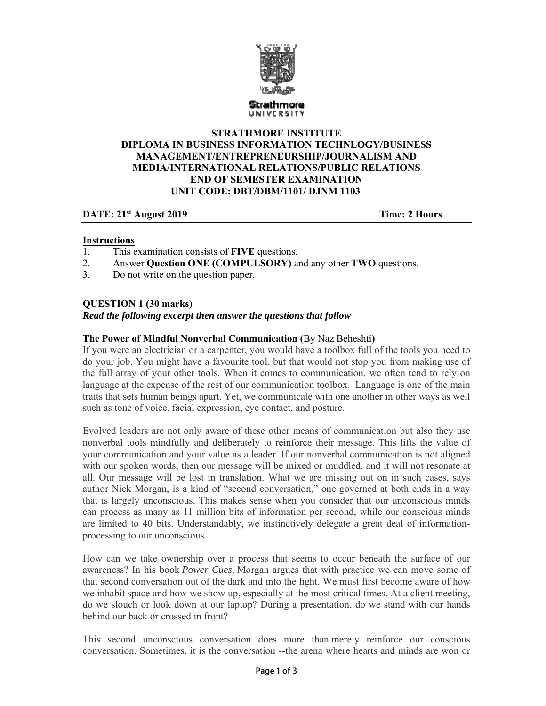

# **STRATHMORE INSTITUTE DIPLOMA IN BUSINESS INFORMATION TECHNLOGY/BUSINESS MANAGEMENT/ENTREPRENEURSHIP/JOURNALISM AND MEDIA/INTERNATIONAL RELATIONS/PUBLIC RELATIONS END OF SEMESTER EXAMINATION UNIT CODE: DBT/DBM/1101/ DJNM 1103**

# **DATE:**  $21^{st}$  August 2019 **Time:** 2 Hours

#### **Instructions**

- 1. This examination consists of **FIVE** questions.
- 2. Answer **Question ONE (COMPULSORY)** and any other **TWO** questions.
- 3. Do not write on the question paper.

# **QUESTION 1 (30 marks)**

#### *Read the following excerpt then answer the questions that follow*

# **The Power of Mindful Nonverbal Communication (**By Naz Beheshti**)**

If you were an electrician or a carpenter, you would have a toolbox full of the tools you need to do your job. You might have a favourite tool, but that would not stop you from making use of the full array of your other tools. When it comes to communication, we often tend to rely on language at the expense of the rest of our communication toolbox. Language is one of the main traits that sets human beings apart. Yet, we communicate with one another in other ways as well such as tone of voice, facial expression, eye contact, and posture.

Evolved leaders are not only aware of these other means of communication but also they use nonverbal tools mindfully and deliberately to reinforce their message. This lifts the value of your communication and your value as a leader. If our nonverbal communication is not aligned with our spoken words, then our message will be mixed or muddled, and it will not resonate at all. Our message will be lost in translation. What we are missing out on in such cases, says author Nick Morgan, is a kind of "second conversation," one governed at both ends in a way that is largely unconscious. This makes sense when you consider that our unconscious minds can process as many as 11 million bits of information per second, while our conscious minds are limited to 40 bits. Understandably, we instinctively delegate a great deal of informationprocessing to our unconscious.

How can we take ownership over a process that seems to occur beneath the surface of our awareness? In his book *Power Cues,* Morgan argues that with practice we can move some of that second conversation out of the dark and into the light. We must first become aware of how we inhabit space and how we show up, especially at the most critical times. At a client meeting, do we slouch or look down at our laptop? During a presentation, do we stand with our hands behind our back or crossed in front?

This second unconscious conversation does more than merely reinforce our conscious conversation. Sometimes, it is the conversation --the arena where hearts and minds are won or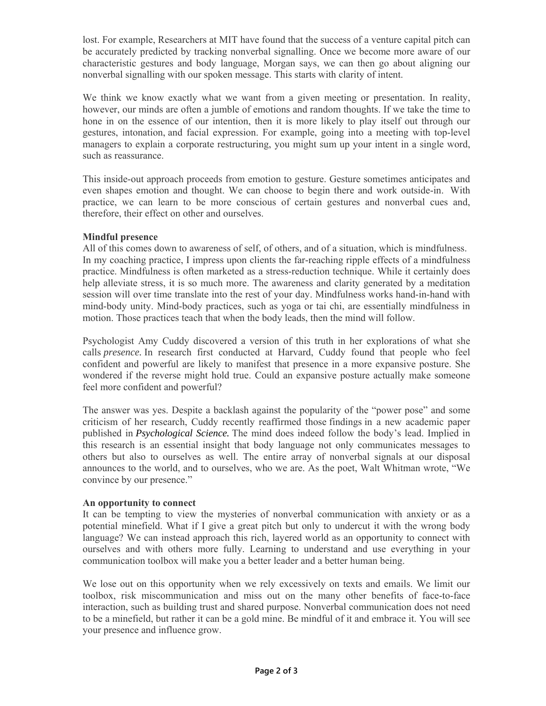lost. For example, Researchers at MIT have found that the success of a venture capital pitch can be accurately predicted by tracking nonverbal signalling. Once we become more aware of our characteristic gestures and body language, Morgan says, we can then go about aligning our nonverbal signalling with our spoken message. This starts with clarity of intent.

We think we know exactly what we want from a given meeting or presentation. In reality, however, our minds are often a jumble of emotions and random thoughts. If we take the time to hone in on the essence of our intention, then it is more likely to play itself out through our gestures, intonation, and facial expression. For example, going into a meeting with top-level managers to explain a corporate restructuring, you might sum up your intent in a single word, such as reassurance.

This inside-out approach proceeds from emotion to gesture. Gesture sometimes anticipates and even shapes emotion and thought. We can choose to begin there and work outside-in. With practice, we can learn to be more conscious of certain gestures and nonverbal cues and, therefore, their effect on other and ourselves.

#### **Mindful presence**

All of this comes down to awareness of self, of others, and of a situation, which is mindfulness. In my coaching practice, I impress upon clients the far-reaching ripple effects of a mindfulness practice. Mindfulness is often marketed as a stress-reduction technique. While it certainly does help alleviate stress, it is so much more. The awareness and clarity generated by a meditation session will over time translate into the rest of your day. Mindfulness works hand-in-hand with mind-body unity. Mind-body practices, such as yoga or tai chi, are essentially mindfulness in motion. Those practices teach that when the body leads, then the mind will follow.

Psychologist Amy Cuddy discovered a version of this truth in her explorations of what she calls *presence.* In research first conducted at Harvard, Cuddy found that people who feel confident and powerful are likely to manifest that presence in a more expansive posture. She wondered if the reverse might hold true. Could an expansive posture actually make someone feel more confident and powerful?

The answer was yes. Despite a backlash against the popularity of the "power pose" and some criticism of her research, Cuddy recently reaffirmed those findings in a new academic paper published in *Psychological Science.* The mind does indeed follow the body's lead. Implied in this research is an essential insight that body language not only communicates messages to others but also to ourselves as well. The entire array of nonverbal signals at our disposal announces to the world, and to ourselves, who we are. As the poet, Walt Whitman wrote, "We convince by our presence."

#### **An opportunity to connect**

It can be tempting to view the mysteries of nonverbal communication with anxiety or as a potential minefield. What if I give a great pitch but only to undercut it with the wrong body language? We can instead approach this rich, layered world as an opportunity to connect with ourselves and with others more fully. Learning to understand and use everything in your communication toolbox will make you a better leader and a better human being.

We lose out on this opportunity when we rely excessively on texts and emails. We limit our toolbox, risk miscommunication and miss out on the many other benefits of face-to-face interaction, such as building trust and shared purpose. Nonverbal communication does not need to be a minefield, but rather it can be a gold mine. Be mindful of it and embrace it. You will see your presence and influence grow.